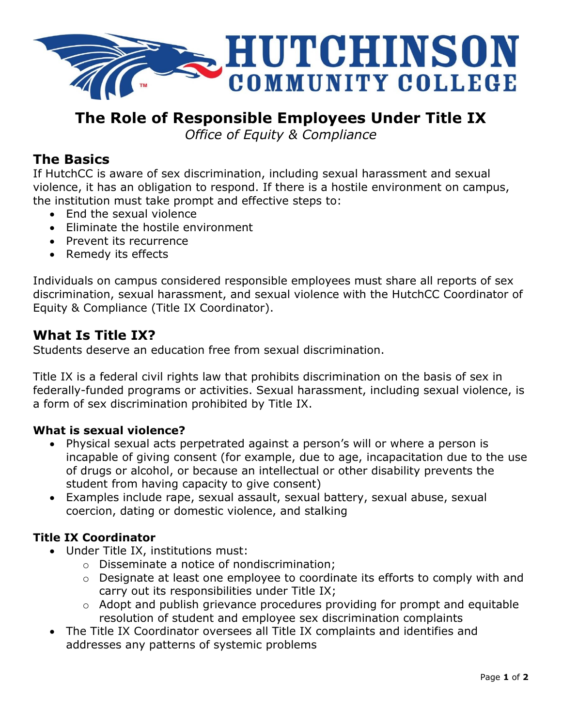

# **The Role of Responsible Employees Under Title IX**

*Office of Equity & Compliance*

### **The Basics**

If HutchCC is aware of sex discrimination, including sexual harassment and sexual violence, it has an obligation to respond. If there is a hostile environment on campus, the institution must take prompt and effective steps to:

- End the sexual violence
- Eliminate the hostile environment
- Prevent its recurrence
- Remedy its effects

Individuals on campus considered responsible employees must share all reports of sex discrimination, sexual harassment, and sexual violence with the HutchCC Coordinator of Equity & Compliance (Title IX Coordinator).

### **What Is Title IX?**

Students deserve an education free from sexual discrimination.

Title IX is a federal civil rights law that prohibits discrimination on the basis of sex in federally-funded programs or activities. Sexual harassment, including sexual violence, is a form of sex discrimination prohibited by Title IX.

### **What is sexual violence?**

- Physical sexual acts perpetrated against a person's will or where a person is incapable of giving consent (for example, due to age, incapacitation due to the use of drugs or alcohol, or because an intellectual or other disability prevents the student from having capacity to give consent)
- Examples include rape, sexual assault, sexual battery, sexual abuse, sexual coercion, dating or domestic violence, and stalking

### **Title IX Coordinator**

- Under Title IX, institutions must:
	- o Disseminate a notice of nondiscrimination;
	- o Designate at least one employee to coordinate its efforts to comply with and carry out its responsibilities under Title IX;
	- o Adopt and publish grievance procedures providing for prompt and equitable resolution of student and employee sex discrimination complaints
- The Title IX Coordinator oversees all Title IX complaints and identifies and addresses any patterns of systemic problems